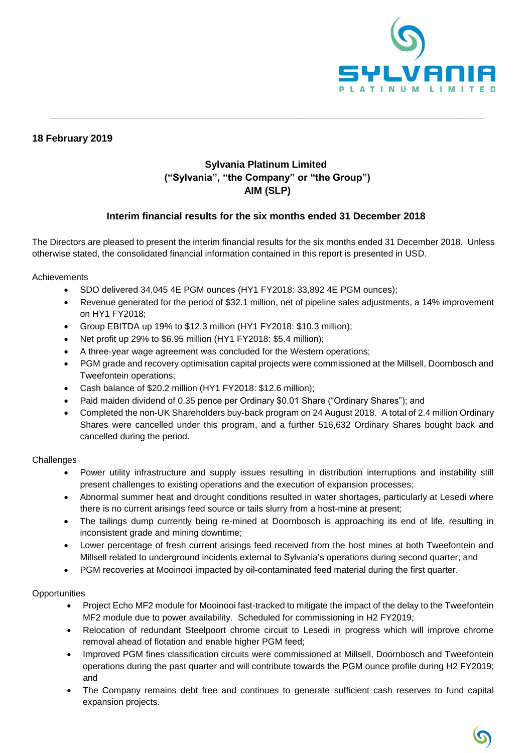

## **18 February 2019**

## **Sylvania Platinum Limited ("Sylvania", "the Company" or "the Group") AIM (SLP)**

**\_\_\_\_\_\_\_\_\_\_\_\_\_\_\_\_\_\_\_\_\_\_\_\_\_\_\_\_\_\_\_\_\_\_\_\_\_\_\_\_\_\_\_\_\_\_\_\_\_\_\_\_\_\_\_\_\_\_\_\_\_\_\_\_\_\_\_\_\_\_\_\_\_\_\_\_\_\_\_\_\_\_\_\_\_\_\_\_\_\_\_\_\_\_\_\_\_\_\_\_\_\_\_\_\_\_\_\_\_\_\_\_\_\_\_\_\_\_\_\_\_\_\_\_\_**

## **Interim financial results for the six months ended 31 December 2018**

The Directors are pleased to present the interim financial results for the six months ended 31 December 2018. Unless otherwise stated, the consolidated financial information contained in this report is presented in USD.

#### Achievements

- SDO delivered 34,045 4E PGM ounces (HY1 FY2018: 33,892 4E PGM ounces);
- Revenue generated for the period of \$32.1 million, net of pipeline sales adjustments, a 14% improvement on HY1 FY2018;
- Group EBITDA up 19% to \$12.3 million (HY1 FY2018: \$10.3 million);
- Net profit up 29% to \$6.95 million (HY1 FY2018: \$5.4 million);
- A three-year wage agreement was concluded for the Western operations;
- PGM grade and recovery optimisation capital projects were commissioned at the Millsell, Doornbosch and Tweefontein operations;
- Cash balance of \$20.2 million (HY1 FY2018: \$12.6 million);
- Paid maiden dividend of 0.35 pence per Ordinary \$0.01 Share ("Ordinary Shares"); and
- Completed the non-UK Shareholders buy-back program on 24 August 2018. A total of 2.4 million Ordinary Shares were cancelled under this program, and a further 516,632 Ordinary Shares bought back and cancelled during the period.

#### **Challenges**

- Power utility infrastructure and supply issues resulting in distribution interruptions and instability still present challenges to existing operations and the execution of expansion processes;
- Abnormal summer heat and drought conditions resulted in water shortages, particularly at Lesedi where there is no current arisings feed source or tails slurry from a host-mine at present;
- The tailings dump currently being re-mined at Doornbosch is approaching its end of life, resulting in inconsistent grade and mining downtime;
- Lower percentage of fresh current arisings feed received from the host mines at both Tweefontein and Millsell related to underground incidents external to Sylvania's operations during second quarter; and
- PGM recoveries at Mooinooi impacted by oil-contaminated feed material during the first quarter.

#### **Opportunities**

- Project Echo MF2 module for Mooinooi fast-tracked to mitigate the impact of the delay to the Tweefontein MF2 module due to power availability. Scheduled for commissioning in H2 FY2019;
- Relocation of redundant Steelpoort chrome circuit to Lesedi in progress which will improve chrome removal ahead of flotation and enable higher PGM feed;
- Improved PGM fines classification circuits were commissioned at Millsell, Doornbosch and Tweefontein operations during the past quarter and will contribute towards the PGM ounce profile during H2 FY2019; and
- The Company remains debt free and continues to generate sufficient cash reserves to fund capital expansion projects.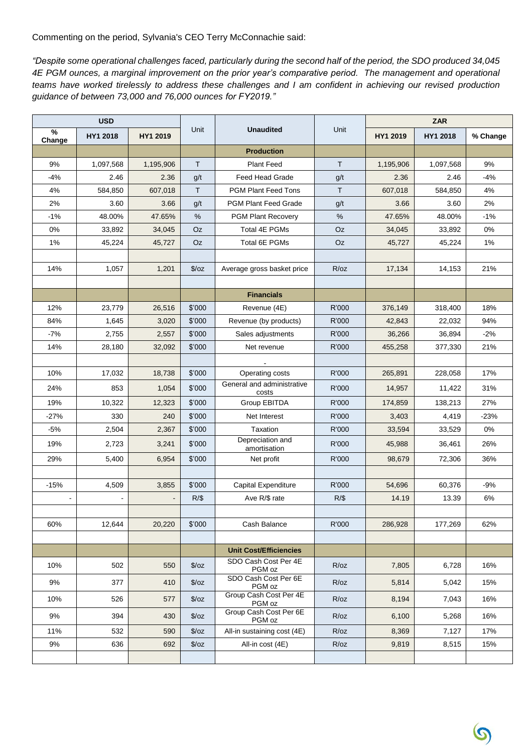Commenting on the period, Sylvania's CEO Terry McConnachie said:

*"Despite some operational challenges faced, particularly during the second half of the period, the SDO produced 34,045 4E PGM ounces, a marginal improvement on the prior year's comparative period. The management and operational teams have worked tirelessly to address these challenges and I am confident in achieving our revised production guidance of between 73,000 and 76,000 ounces for FY2019."*

|             | <b>USD</b> |           |               |                                     | <b>ZAR</b> |           |           |          |
|-------------|------------|-----------|---------------|-------------------------------------|------------|-----------|-----------|----------|
| %<br>Change | HY1 2018   | HY1 2019  | Unit          | <b>Unaudited</b>                    | Unit       | HY1 2019  | HY1 2018  | % Change |
|             |            |           |               | <b>Production</b>                   |            |           |           |          |
| 9%          | 1,097,568  | 1,195,906 | T.            | <b>Plant Feed</b>                   | T.         | 1,195,906 | 1,097,568 | 9%       |
| $-4%$       | 2.46       | 2.36      | g/t           | Feed Head Grade                     | g/t        | 2.36      | 2.46      | $-4%$    |
| 4%          | 584,850    | 607,018   | $\mathsf{T}$  | <b>PGM Plant Feed Tons</b>          | Τ          | 607,018   | 584,850   | 4%       |
| 2%          | 3.60       | 3.66      | g/t           | <b>PGM Plant Feed Grade</b>         | g/t        | 3.66      | 3.60      | 2%       |
| $-1%$       | 48.00%     | 47.65%    | %             | <b>PGM Plant Recovery</b>           | %          | 47.65%    | 48.00%    | $-1%$    |
| 0%          | 33,892     | 34,045    | Oz            | Total 4E PGMs                       | Oz         | 34,045    | 33,892    | 0%       |
| 1%          | 45,224     | 45,727    | Oz            | Total 6E PGMs                       | Oz         | 45,727    | 45,224    | 1%       |
|             |            |           |               |                                     |            |           |           |          |
| 14%         | 1,057      | 1,201     | $\sqrt{2}/oz$ | Average gross basket price          | R/oz       | 17,134    | 14,153    | 21%      |
|             |            |           |               |                                     |            |           |           |          |
|             |            |           |               | <b>Financials</b>                   |            |           |           |          |
| 12%         | 23,779     | 26,516    | \$'000        | Revenue (4E)                        | R'000      | 376,149   | 318,400   | 18%      |
| 84%         | 1,645      | 3,020     | \$'000        | Revenue (by products)               | R'000      | 42,843    | 22,032    | 94%      |
| $-7%$       | 2,755      | 2,557     | \$'000        | Sales adjustments                   | R'000      | 36,266    | 36,894    | $-2%$    |
| 14%         | 28,180     | 32,092    | \$'000        | Net revenue                         | R'000      | 455,258   | 377,330   | 21%      |
|             |            |           |               |                                     |            |           |           |          |
| 10%         | 17,032     | 18,738    | \$'000        | Operating costs                     | R'000      | 265,891   | 228,058   | 17%      |
| 24%         | 853        | 1,054     | \$'000        | General and administrative<br>costs | R'000      | 14,957    | 11,422    | 31%      |
| 19%         | 10,322     | 12,323    | \$'000        | Group EBITDA                        | R'000      | 174,859   | 138,213   | 27%      |
| -27%        | 330        | 240       | \$'000        | Net Interest                        | R'000      | 3,403     | 4,419     | $-23%$   |
| $-5%$       | 2,504      | 2,367     | \$'000        | Taxation                            | R'000      | 33,594    | 33,529    | 0%       |
| 19%         | 2,723      | 3,241     | \$'000        | Depreciation and<br>amortisation    | R'000      | 45,988    | 36,461    | 26%      |
| 29%         | 5,400      | 6,954     | \$'000        | Net profit                          | R'000      | 98,679    | 72,306    | 36%      |
|             |            |           |               |                                     |            |           |           |          |
| $-15%$      | 4,509      | 3,855     | \$'000        | Capital Expenditure                 | R'000      | 54,696    | 60,376    | $-9%$    |
|             |            |           | $R/\$$        | Ave R/\$ rate                       | $R/\$$     | 14.19     | 13.39     | 6%       |
|             |            |           |               |                                     |            |           |           |          |
| 60%         | 12,644     | 20,220    | \$'000        | Cash Balance                        | R'000      | 286,928   | 177,269   | 62%      |
|             |            |           |               |                                     |            |           |           |          |
|             |            |           |               | <b>Unit Cost/Efficiencies</b>       |            |           |           |          |
| 10%         | 502        | 550       | $\sqrt{2}/oz$ | SDO Cash Cost Per 4E<br>PGM oz      | R/oz       | 7,805     | 6,728     | 16%      |
| 9%          | 377        | 410       | $\sqrt{2}/oz$ | SDO Cash Cost Per 6E<br>PGM oz      | R/oz       | 5,814     | 5,042     | 15%      |
| 10%         | 526        | 577       | $\sqrt{2}/oz$ | Group Cash Cost Per 4E<br>PGM oz    | R/oz       | 8,194     | 7,043     | 16%      |
| 9%          | 394        | 430       | $\sqrt{2}/oz$ | Group Cash Cost Per 6E<br>PGM oz    | R/oz       | 6,100     | 5,268     | 16%      |
| 11%         | 532        | 590       | $\sqrt{2}/oz$ | All-in sustaining cost (4E)         | R/oz       | 8,369     | 7,127     | 17%      |
| 9%          | 636        | 692       | $\sqrt{2}/oz$ | All-in cost (4E)                    | R/oz       | 9,819     | 8,515     | 15%      |
|             |            |           |               |                                     |            |           |           |          |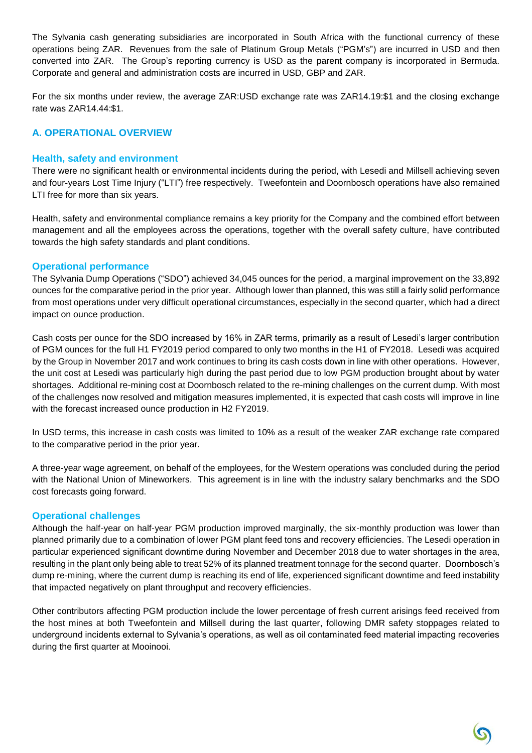The Sylvania cash generating subsidiaries are incorporated in South Africa with the functional currency of these operations being ZAR. Revenues from the sale of Platinum Group Metals ("PGM's") are incurred in USD and then converted into ZAR. The Group's reporting currency is USD as the parent company is incorporated in Bermuda. Corporate and general and administration costs are incurred in USD, GBP and ZAR.

For the six months under review, the average ZAR:USD exchange rate was ZAR14.19:\$1 and the closing exchange rate was ZAR14.44:\$1.

## **A. OPERATIONAL OVERVIEW**

#### **Health, safety and environment**

There were no significant health or environmental incidents during the period, with Lesedi and Millsell achieving seven and four-years Lost Time Injury ("LTI") free respectively. Tweefontein and Doornbosch operations have also remained LTI free for more than six years.

Health, safety and environmental compliance remains a key priority for the Company and the combined effort between management and all the employees across the operations, together with the overall safety culture, have contributed towards the high safety standards and plant conditions.

#### **Operational performance**

The Sylvania Dump Operations ("SDO") achieved 34,045 ounces for the period, a marginal improvement on the 33,892 ounces for the comparative period in the prior year. Although lower than planned, this was still a fairly solid performance from most operations under very difficult operational circumstances, especially in the second quarter, which had a direct impact on ounce production.

Cash costs per ounce for the SDO increased by 16% in ZAR terms, primarily as a result of Lesedi's larger contribution of PGM ounces for the full H1 FY2019 period compared to only two months in the H1 of FY2018. Lesedi was acquired by the Group in November 2017 and work continues to bring its cash costs down in line with other operations. However, the unit cost at Lesedi was particularly high during the past period due to low PGM production brought about by water shortages. Additional re-mining cost at Doornbosch related to the re-mining challenges on the current dump. With most of the challenges now resolved and mitigation measures implemented, it is expected that cash costs will improve in line with the forecast increased ounce production in H2 FY2019.

In USD terms, this increase in cash costs was limited to 10% as a result of the weaker ZAR exchange rate compared to the comparative period in the prior year.

A three-year wage agreement, on behalf of the employees, for the Western operations was concluded during the period with the National Union of Mineworkers. This agreement is in line with the industry salary benchmarks and the SDO cost forecasts going forward.

#### **Operational challenges**

Although the half-year on half-year PGM production improved marginally, the six-monthly production was lower than planned primarily due to a combination of lower PGM plant feed tons and recovery efficiencies. The Lesedi operation in particular experienced significant downtime during November and December 2018 due to water shortages in the area, resulting in the plant only being able to treat 52% of its planned treatment tonnage for the second quarter. Doornbosch's dump re-mining, where the current dump is reaching its end of life, experienced significant downtime and feed instability that impacted negatively on plant throughput and recovery efficiencies.

Other contributors affecting PGM production include the lower percentage of fresh current arisings feed received from the host mines at both Tweefontein and Millsell during the last quarter, following DMR safety stoppages related to underground incidents external to Sylvania's operations, as well as oil contaminated feed material impacting recoveries during the first quarter at Mooinooi.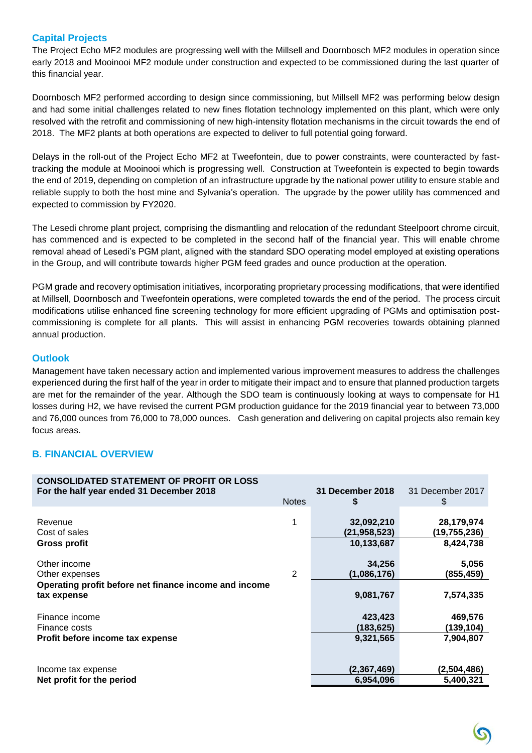## **Capital Projects**

The Project Echo MF2 modules are progressing well with the Millsell and Doornbosch MF2 modules in operation since early 2018 and Mooinooi MF2 module under construction and expected to be commissioned during the last quarter of this financial year.

Doornbosch MF2 performed according to design since commissioning, but Millsell MF2 was performing below design and had some initial challenges related to new fines flotation technology implemented on this plant, which were only resolved with the retrofit and commissioning of new high-intensity flotation mechanisms in the circuit towards the end of 2018. The MF2 plants at both operations are expected to deliver to full potential going forward.

Delays in the roll-out of the Project Echo MF2 at Tweefontein, due to power constraints, were counteracted by fasttracking the module at Mooinooi which is progressing well. Construction at Tweefontein is expected to begin towards the end of 2019, depending on completion of an infrastructure upgrade by the national power utility to ensure stable and reliable supply to both the host mine and Sylvania's operation. The upgrade by the power utility has commenced and expected to commission by FY2020.

The Lesedi chrome plant project, comprising the dismantling and relocation of the redundant Steelpoort chrome circuit, has commenced and is expected to be completed in the second half of the financial year. This will enable chrome removal ahead of Lesedi's PGM plant, aligned with the standard SDO operating model employed at existing operations in the Group, and will contribute towards higher PGM feed grades and ounce production at the operation.

PGM grade and recovery optimisation initiatives, incorporating proprietary processing modifications, that were identified at Millsell, Doornbosch and Tweefontein operations, were completed towards the end of the period. The process circuit modifications utilise enhanced fine screening technology for more efficient upgrading of PGMs and optimisation postcommissioning is complete for all plants. This will assist in enhancing PGM recoveries towards obtaining planned annual production.

#### **Outlook**

Management have taken necessary action and implemented various improvement measures to address the challenges experienced during the first half of the year in order to mitigate their impact and to ensure that planned production targets are met for the remainder of the year. Although the SDO team is continuously looking at ways to compensate for H1 losses during H2, we have revised the current PGM production guidance for the 2019 financial year to between 73,000 and 76,000 ounces from 76,000 to 78,000 ounces. Cash generation and delivering on capital projects also remain key focus areas.

## **B. FINANCIAL OVERVIEW**

| <b>CONSOLIDATED STATEMENT OF PROFIT OR LOSS</b>                                                        | <b>Notes</b>   | 31 December 2018                   | 31 December 2017                |
|--------------------------------------------------------------------------------------------------------|----------------|------------------------------------|---------------------------------|
| For the half year ended 31 December 2018                                                               |                | \$                                 | \$                              |
| Revenue                                                                                                | 1              | 32,092,210                         | 28,179,974                      |
| Cost of sales                                                                                          |                | (21, 958, 523)                     | (19,755,236)                    |
| Gross profit                                                                                           |                | 10,133,687                         | 8,424,738                       |
| Other income<br>Other expenses<br>Operating profit before net finance income and income<br>tax expense | $\overline{2}$ | 34,256<br>(1,086,176)<br>9,081,767 | 5,056<br>(855,459)<br>7,574,335 |
| Finance income                                                                                         |                | 423,423                            | 469,576                         |
| Finance costs                                                                                          |                | (183,625)                          | (139,104)                       |
| Profit before income tax expense                                                                       |                | 9,321,565                          | 7,904,807                       |
| Income tax expense                                                                                     |                | (2,367,469)                        | (2,504,486)                     |
| Net profit for the period                                                                              |                | 6,954,096                          | 5,400,321                       |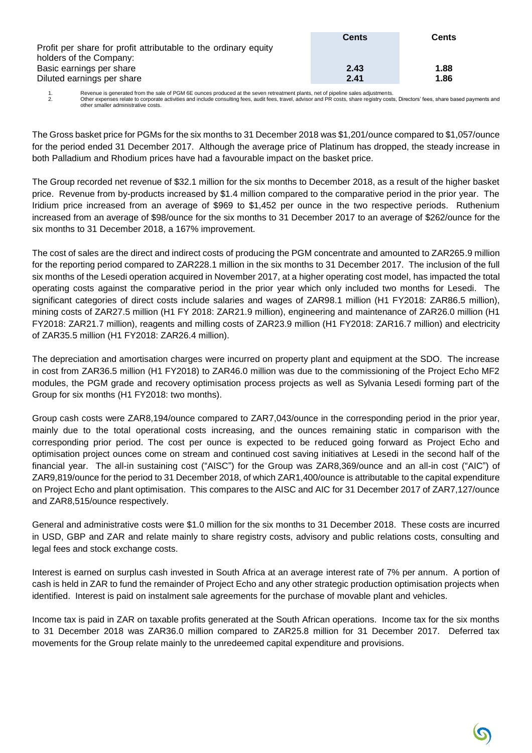|                                                                 | <b>Cents</b> | <b>Cents</b> |
|-----------------------------------------------------------------|--------------|--------------|
| Profit per share for profit attributable to the ordinary equity |              |              |
| holders of the Company:                                         |              |              |
| Basic earnings per share                                        | 2.43         | 1.88         |
| Diluted earnings per share                                      | 2.41         | 1.86         |

1. Revenue is generated from the sale of PGM 6E ounces produced at the seven retreatment plants, net of pipeline sales adjustments. 2. Other expenses relate to corporate activities and include consulting fees, audit fees, travel, advisor and PR costs, share registry costs, Directors' fees, share based payments and other smaller administrative costs.

The Gross basket price for PGMs for the six months to 31 December 2018 was \$1,201/ounce compared to \$1,057/ounce for the period ended 31 December 2017. Although the average price of Platinum has dropped, the steady increase in both Palladium and Rhodium prices have had a favourable impact on the basket price.

The Group recorded net revenue of \$32.1 million for the six months to December 2018, as a result of the higher basket price. Revenue from by-products increased by \$1.4 million compared to the comparative period in the prior year. The Iridium price increased from an average of \$969 to \$1,452 per ounce in the two respective periods. Ruthenium increased from an average of \$98/ounce for the six months to 31 December 2017 to an average of \$262/ounce for the six months to 31 December 2018, a 167% improvement.

The cost of sales are the direct and indirect costs of producing the PGM concentrate and amounted to ZAR265.9 million for the reporting period compared to ZAR228.1 million in the six months to 31 December 2017. The inclusion of the full six months of the Lesedi operation acquired in November 2017, at a higher operating cost model, has impacted the total operating costs against the comparative period in the prior year which only included two months for Lesedi. The significant categories of direct costs include salaries and wages of ZAR98.1 million (H1 FY2018: ZAR86.5 million), mining costs of ZAR27.5 million (H1 FY 2018: ZAR21.9 million), engineering and maintenance of ZAR26.0 million (H1 FY2018: ZAR21.7 million), reagents and milling costs of ZAR23.9 million (H1 FY2018: ZAR16.7 million) and electricity of ZAR35.5 million (H1 FY2018: ZAR26.4 million).

The depreciation and amortisation charges were incurred on property plant and equipment at the SDO. The increase in cost from ZAR36.5 million (H1 FY2018) to ZAR46.0 million was due to the commissioning of the Project Echo MF2 modules, the PGM grade and recovery optimisation process projects as well as Sylvania Lesedi forming part of the Group for six months (H1 FY2018: two months).

Group cash costs were ZAR8,194/ounce compared to ZAR7,043/ounce in the corresponding period in the prior year, mainly due to the total operational costs increasing, and the ounces remaining static in comparison with the corresponding prior period. The cost per ounce is expected to be reduced going forward as Project Echo and optimisation project ounces come on stream and continued cost saving initiatives at Lesedi in the second half of the financial year. The all-in sustaining cost ("AISC") for the Group was ZAR8,369/ounce and an all-in cost ("AIC") of ZAR9,819/ounce for the period to 31 December 2018, of which ZAR1,400/ounce is attributable to the capital expenditure on Project Echo and plant optimisation. This compares to the AISC and AIC for 31 December 2017 of ZAR7,127/ounce and ZAR8,515/ounce respectively.

General and administrative costs were \$1.0 million for the six months to 31 December 2018. These costs are incurred in USD, GBP and ZAR and relate mainly to share registry costs, advisory and public relations costs, consulting and legal fees and stock exchange costs.

Interest is earned on surplus cash invested in South Africa at an average interest rate of 7% per annum. A portion of cash is held in ZAR to fund the remainder of Project Echo and any other strategic production optimisation projects when identified. Interest is paid on instalment sale agreements for the purchase of movable plant and vehicles.

Income tax is paid in ZAR on taxable profits generated at the South African operations. Income tax for the six months to 31 December 2018 was ZAR36.0 million compared to ZAR25.8 million for 31 December 2017. Deferred tax movements for the Group relate mainly to the unredeemed capital expenditure and provisions.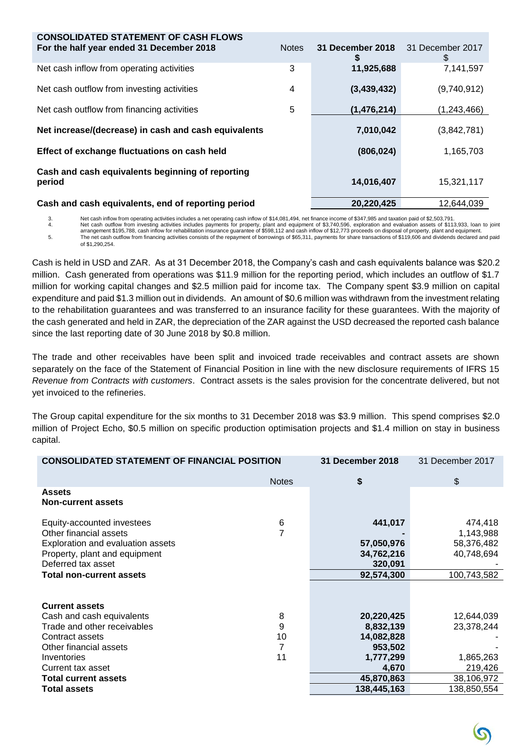| <b>CONSOLIDATED STATEMENT OF CASH FLOWS</b>                |              |                  |                        |
|------------------------------------------------------------|--------------|------------------|------------------------|
| For the half year ended 31 December 2018                   | <b>Notes</b> | 31 December 2018 | 31 December 2017<br>\$ |
| Net cash inflow from operating activities                  | 3            | 11,925,688       | 7,141,597              |
| Net cash outflow from investing activities                 | 4            | (3,439,432)      | (9,740,912)            |
| Net cash outflow from financing activities                 | 5            | (1,476,214)      | (1,243,466)            |
| Net increase/(decrease) in cash and cash equivalents       |              | 7,010,042        | (3,842,781)            |
| Effect of exchange fluctuations on cash held               |              | (806, 024)       | 1,165,703              |
| Cash and cash equivalents beginning of reporting<br>period |              | 14,016,407       | 15,321,117             |
| Cash and cash equivalents, end of reporting period         |              | 20,220,425       | 12.644.039             |

3. Net cash inflow from operating activities includes a net operating cash inflow of \$14,081,494, net finance income of \$347,985 and taxation paid of \$2,503,791.<br>Net cash outflow from investing activities includes payments

4. Net cash outflow from investing activities includes payments for property, plant and equipment of \$3,740,596, exploration and evaluation assets of \$113,933, loan to joint<br>arrangement \$195,788, cash inflow for rehabilita 5. The net cash outflow from financing activities consists of the repayment of borrowings of \$65,311, payments for share transactions of \$119,606 and dividends declared and paid of \$1,290,254.

Cash is held in USD and ZAR. As at 31 December 2018, the Company's cash and cash equivalents balance was \$20.2 million. Cash generated from operations was \$11.9 million for the reporting period, which includes an outflow of \$1.7 million for working capital changes and \$2.5 million paid for income tax. The Company spent \$3.9 million on capital expenditure and paid \$1.3 million out in dividends. An amount of \$0.6 million was withdrawn from the investment relating to the rehabilitation guarantees and was transferred to an insurance facility for these guarantees. With the majority of the cash generated and held in ZAR, the depreciation of the ZAR against the USD decreased the reported cash balance since the last reporting date of 30 June 2018 by \$0.8 million.

The trade and other receivables have been split and invoiced trade receivables and contract assets are shown separately on the face of the Statement of Financial Position in line with the new disclosure requirements of IFRS 15 *Revenue from Contracts with customers*. Contract assets is the sales provision for the concentrate delivered, but not yet invoiced to the refineries.

The Group capital expenditure for the six months to 31 December 2018 was \$3.9 million. This spend comprises \$2.0 million of Project Echo, \$0.5 million on specific production optimisation projects and \$1.4 million on stay in business capital.

| <b>CONSOLIDATED STATEMENT OF FINANCIAL POSITION</b> |              | 31 December 2018 | 31 December 2017 |
|-----------------------------------------------------|--------------|------------------|------------------|
|                                                     | <b>Notes</b> | \$               | \$               |
| <b>Assets</b><br><b>Non-current assets</b>          |              |                  |                  |
| Equity-accounted investees                          | 6            | 441,017          | 474,418          |
| Other financial assets                              | 7            |                  | 1,143,988        |
| Exploration and evaluation assets                   |              | 57,050,976       | 58,376,482       |
| Property, plant and equipment                       |              | 34,762,216       | 40,748,694       |
| Deferred tax asset                                  |              | 320,091          |                  |
| <b>Total non-current assets</b>                     |              | 92,574,300       | 100,743,582      |
|                                                     |              |                  |                  |
| <b>Current assets</b>                               |              |                  |                  |
| Cash and cash equivalents                           | 8            | 20,220,425       | 12,644,039       |
| Trade and other receivables                         | 9            | 8,832,139        | 23,378,244       |
| Contract assets                                     | 10           | 14,082,828       |                  |
| Other financial assets                              | 7            | 953,502          |                  |
| Inventories                                         | 11           | 1,777,299        | 1,865,263        |
| Current tax asset                                   |              | 4,670            | 219,426          |
| <b>Total current assets</b>                         |              | 45,870,863       | 38,106,972       |
| <b>Total assets</b>                                 |              | 138,445,163      | 138,850,554      |

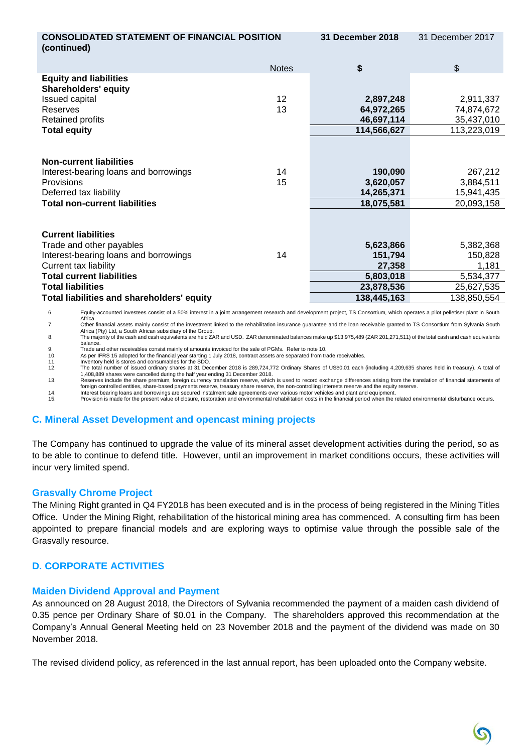| <b>CONSOLIDATED STATEMENT OF FINANCIAL POSITION</b><br>(continued) |                 | <b>31 December 2018</b>   | 31 December 2017 |
|--------------------------------------------------------------------|-----------------|---------------------------|------------------|
|                                                                    | <b>Notes</b>    | \$                        | $\mathfrak{S}$   |
| <b>Equity and liabilities</b><br><b>Shareholders' equity</b>       |                 |                           |                  |
| Issued capital                                                     | 12 <sup>2</sup> | 2,897,248                 | 2,911,337        |
| Reserves                                                           | 13              | 64,972,265                | 74,874,672       |
| Retained profits                                                   |                 | 46,697,114                | 35,437,010       |
| <b>Total equity</b>                                                |                 | 114,566,627               | 113,223,019      |
| <b>Non-current liabilities</b>                                     |                 |                           |                  |
| Interest-bearing loans and borrowings                              | 14              | 190,090                   | 267,212          |
| Provisions                                                         | 15              | 3,620,057                 | 3,884,511        |
| Deferred tax liability                                             |                 | 14,265,371                | 15,941,435       |
| <b>Total non-current liabilities</b>                               |                 | 18,075,581                | 20,093,158       |
| <b>Current liabilities</b><br>Trade and other payables             |                 | 5,623,866                 | 5,382,368        |
| Interest-bearing loans and borrowings<br>Current tax liability     | 14              | 151,794<br>27,358         | 150,828<br>1,181 |
| <b>Total current liabilities</b>                                   |                 | 5,803,018                 | 5,534,377        |
| <b>Total liabilities</b>                                           |                 |                           |                  |
|                                                                    |                 | 23,878,536<br>138,445,163 | 25,627,535       |
| Total liabilities and shareholders' equity                         |                 |                           | 138,850,554      |

6. Equity-accounted investees consist of a 50% interest in a joint arrangement research and development project, TS Consortium, which operates a pilot pelletiser plant in South Africa. 7. Other financial assets mainly consist of the investment linked to the rehabilitation insurance guarantee and the loan receivable granted to TS Consortium from Sylvania South

Africa (Pty) Ltd, a South African subsidiary of the Group. 8. The majority of the cash and cash equivalents are held ZAR and USD. ZAR denominated balances make up \$13,975,489 (ZAR 201,271,511) of the total cash and cash equivalents

balance. 9. Trade and other receivables consist mainly of amounts invoiced for the sale of PGMs. Refer to note 10.

10. As per IFRS 15 adopted for the financial year starting 1 July 2018, contract assets are separated from trade receivables. 11. Inventory held is stores and consumables for the SDO.

12. The total number of issued ordinary shares at 31 December 2018 is 289,724,772 Ordinary Shares of US\$0.01 each (including 4,209,635 shares held in treasury). A total of 1,408,889 shares were cancelled during the half year ending 31 December 2018.

13. Reserves include the share premium, foreign currency translation reserve, which is used to record exchange differences arising from the translation of financial statements of foreign controlled entities, share-based payments reserve, treasury share reserve, the non-controlling interests reserve and the equity reserve.

14. hterest bearing loans and borrowings are secured instalment sale agreements over various motor vehicles and plant and equipment.<br>15. Provision is made for the present value of closure, restoration and

# **C. Mineral Asset Development and opencast mining projects**

The Company has continued to upgrade the value of its mineral asset development activities during the period, so as to be able to continue to defend title. However, until an improvement in market conditions occurs, these activities will incur very limited spend.

## **Grasvally Chrome Project**

The Mining Right granted in Q4 FY2018 has been executed and is in the process of being registered in the Mining Titles Office. Under the Mining Right, rehabilitation of the historical mining area has commenced. A consulting firm has been appointed to prepare financial models and are exploring ways to optimise value through the possible sale of the Grasvally resource.

# **D. CORPORATE ACTIVITIES**

## **Maiden Dividend Approval and Payment**

As announced on 28 August 2018, the Directors of Sylvania recommended the payment of a maiden cash dividend of 0.35 pence per Ordinary Share of \$0.01 in the Company. The shareholders approved this recommendation at the Company's Annual General Meeting held on 23 November 2018 and the payment of the dividend was made on 30 November 2018.

The revised dividend policy, as referenced in the last annual report, has been uploaded onto the Company website.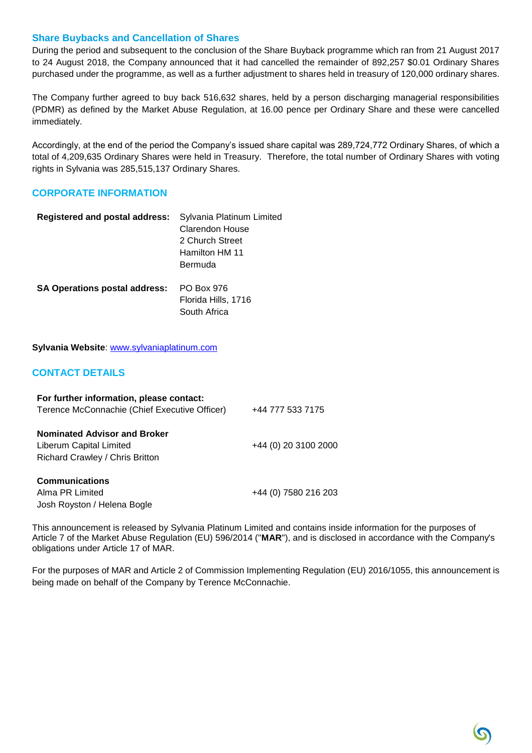#### **Share Buybacks and Cancellation of Shares**

During the period and subsequent to the conclusion of the Share Buyback programme which ran from 21 August 2017 to 24 August 2018, the Company announced that it had cancelled the remainder of 892,257 \$0.01 Ordinary Shares purchased under the programme, as well as a further adjustment to shares held in treasury of 120,000 ordinary shares.

The Company further agreed to buy back 516,632 shares, held by a person discharging managerial responsibilities (PDMR) as defined by the Market Abuse Regulation, at 16.00 pence per Ordinary Share and these were cancelled immediately.

Accordingly, at the end of the period the Company's issued share capital was 289,724,772 Ordinary Shares, of which a total of 4,209,635 Ordinary Shares were held in Treasury. Therefore, the total number of Ordinary Shares with voting rights in Sylvania was 285,515,137 Ordinary Shares.

## **CORPORATE INFORMATION**

| <b>Registered and postal address:</b> | Sylvania Platinum Limited |
|---------------------------------------|---------------------------|
|                                       | Clarendon House           |
|                                       | 2 Church Street           |
|                                       | Hamilton HM 11            |
|                                       | Bermuda                   |
| <b>SA Operations postal address:</b>  | PO Box 976                |
|                                       | Florida Hills, 1716       |
|                                       | South Africa              |

**Sylvania Website**: [www.sylvaniaplatinum.com](http://www.sylvaniaplatinum.com/)

## **CONTACT DETAILS**

| For further information, please contact:      |                      |
|-----------------------------------------------|----------------------|
| Terence McConnachie (Chief Executive Officer) | +44 777 533 7175     |
| <b>Nominated Advisor and Broker</b>           |                      |
| Liberum Capital Limited                       | +44 (0) 20 3100 2000 |
| Richard Crawley / Chris Britton               |                      |
| <b>Communications</b>                         |                      |
| Alma PR Limited                               | +44 (0) 7580 216 203 |
| Josh Royston / Helena Bogle                   |                      |

This announcement is released by Sylvania Platinum Limited and contains inside information for the purposes of Article 7 of the Market Abuse Regulation (EU) 596/2014 ("**MAR**"), and is disclosed in accordance with the Company's obligations under Article 17 of MAR.

For the purposes of MAR and Article 2 of Commission Implementing Regulation (EU) 2016/1055, this announcement is being made on behalf of the Company by Terence McConnachie.